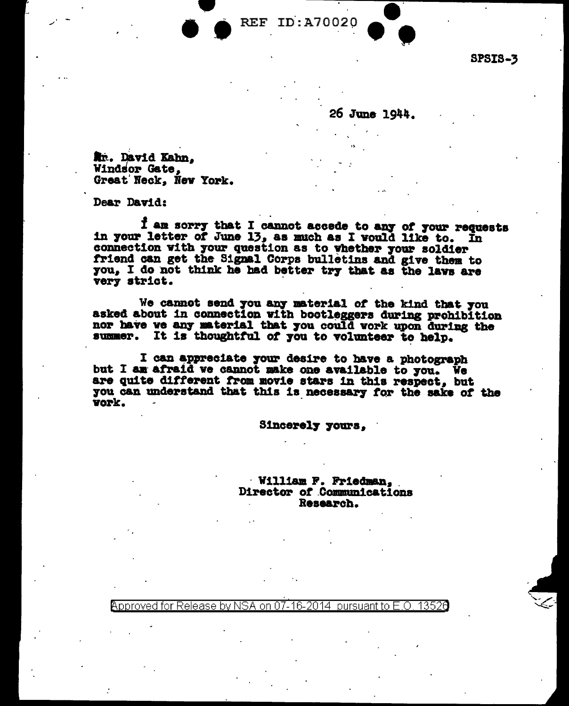ID:A70020 **REF** 

**SPSIS-3** 

26 June 1944.

Nr. David Kahn, Windsor Gate. Great Neck, New York.

Dear David:

I am sorry that I cannot accede to any of your requests<br>in your letter of June 13, as much as I would like to. In connection with your question as to whether your soldier friend can get the Signal Corps bulletins and give them to you. I do not think he had better try that as the laws are very strict.

We cannot send you any material of the kind that you asked about in connection with bootleggers during prohibition nor have we any material that you could work upon during the summer. It is thoughtful of you to volunteer to help.

I can appreciate your desire to have a photograph but I am afraid we cannot make one available to you. We are quite different from movie stars in this respect, but you can understand that this is necessary for the sake of the vork.

Sincerely yours,

William F. Friedman. Director of Communications Research.

NSA on 07-16-2014 13526 Release by pursuant to  $F \Omega$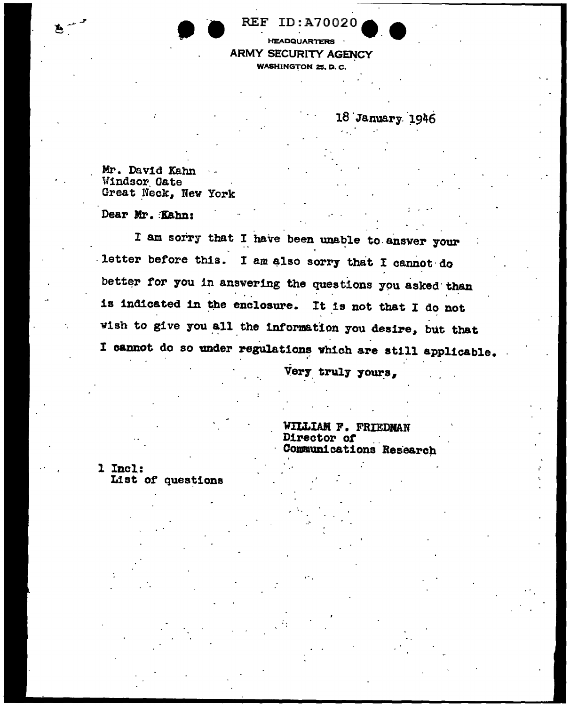| ٠ |  |
|---|--|
|   |  |

## EF ID:A70020

**HEADQUARTERS ARMY SECURITY AGENCY WASHINGTON 25, D.C.** 

18 January 1946

Mr. David Kahn Windsor Gate Great Neck, New York

Dear Mr. Kahn:

**L** 

I am sorry that I have been unable to answer your letter before this. I am also sorry that I cannot do better for you in answering the questions you asked than is indicated in the enclosure. It is not that I do not wish to give you all the information you desire, but that I cannot do so under regulations which are still applicable.

Very truly yours,

WILLIAM F. FRIEDMAN Director of Communications Research

1 Incl: List of questions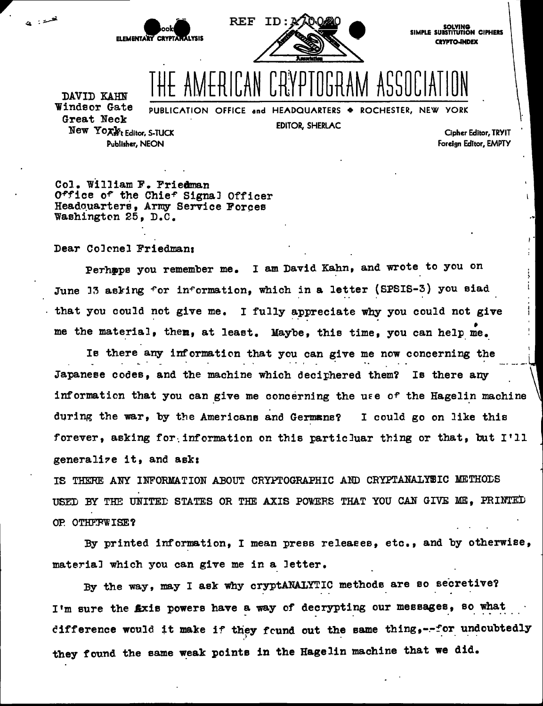

SOLVING<br>SIMPLE SUBSTITUTION CIPHERS **CRYPTO-INDEX** 

DAVID KAHN Windsor Gate Great Neck New Yoxlet Editor, S-TUCK Publisher, NEON

فسد : این

PUBLICATION OFFICE and HEADQUARTERS . ROCHESTER, NEW YORK

EDITOR, SHERLAC

Cipher Editor, TRYIT Foreign Editor, EMPTY

Col. William F. Priedman Office of the Chief Signal Officer Headquarters, Army Service Forces Washington 25, D.C.

Dear Colonel Friedman:

Perhops you remember me. I am David Kahn, and wrote to you on June 13 asking for information, which in a letter (SPSIS-3) you siad that you could not give me. I fully appreciate why you could not give me the material, them, at least. Maybe, this time, you can help me.

Is there any information that you can give me now concerning the Japanese codes, and the machine which deciphered them? Is there any information that you can give me concerning the use of the Hagelin machine during the war, by the Americans and Germans? I could go on like this forever, asking for information on this particluar thing or that, but I'll generalize it, and ask:

IS THERE ANY INFORMATION ABOUT CRYPTOGRAPHIC AND CRYPTANALYSIC METHODS USED BY THE UNITED STATES OR THE AXIS POWERS THAT YOU CAN GIVE ME, PRINTED OP. OTHFFWISE?

By printed information, I mean press releases, etc., and by otherwise, material which you can give me in a letter.

By the way, may I ask why cryptANALYTIC methods are so secretive? I'm sure the *fixis* powers have a way of decrypting our messages, so what difference would it make if they found out the same thing, --for undoubtedly they found the same weak points in the Hagelin machine that we did.